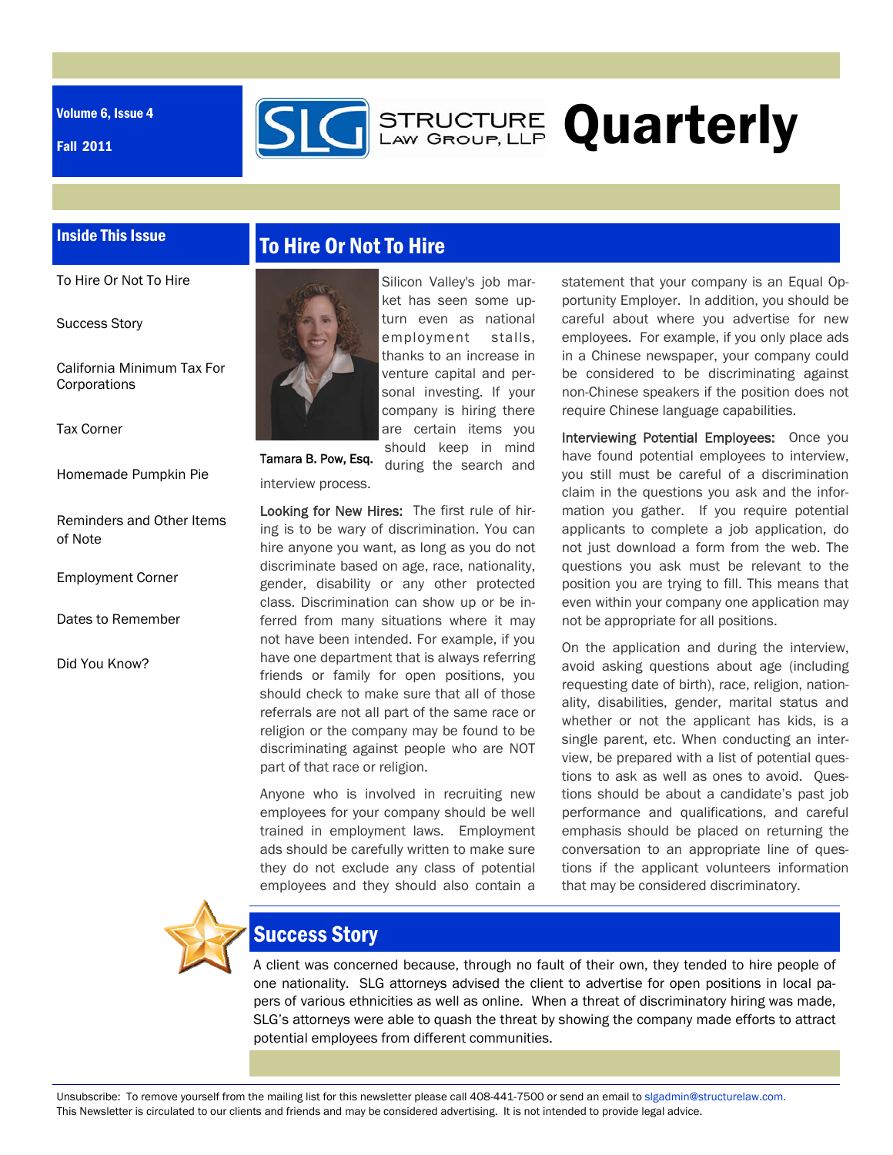Volume 6, Issue 4

Fall 2011



### Inside This Issue

To Hire Or Not To Hire

Success Story

California Minimum Tax For **Corporations** 

Tax Corner

Homemade Pumpkin Pie

Reminders and Other Items of Note

Employment Corner

Dates to Remember

Did You Know?

# To Hire Or Not To Hire



Silicon Valley's job market has seen some upturn even as national employment stalls, thanks to an increase in venture capital and personal investing. If your company is hiring there are certain items you should keep in mind

during the search and

Tamara B. Pow, Esq.

interview process.

Looking for New Hires: The first rule of hiring is to be wary of discrimination. You can hire anyone you want, as long as you do not discriminate based on age, race, nationality, gender, disability or any other protected class. Discrimination can show up or be inferred from many situations where it may not have been intended. For example, if you have one department that is always referring friends or family for open positions, you should check to make sure that all of those referrals are not all part of the same race or religion or the company may be found to be discriminating against people who are NOT part of that race or religion.

Anyone who is involved in recruiting new employees for your company should be well trained in employment laws. Employment ads should be carefully written to make sure they do not exclude any class of potential employees and they should also contain a

statement that your company is an Equal Opportunity Employer. In addition, you should be careful about where you advertise for new employees. For example, if you only place ads in a Chinese newspaper, your company could be considered to be discriminating against non-Chinese speakers if the position does not require Chinese language capabilities.

Interviewing Potential Employees: Once you have found potential employees to interview, you still must be careful of a discrimination claim in the questions you ask and the information you gather. If you require potential applicants to complete a job application, do not just download a form from the web. The questions you ask must be relevant to the position you are trying to fill. This means that even within your company one application may not be appropriate for all positions.

On the application and during the interview, avoid asking questions about age (including requesting date of birth), race, religion, nationality, disabilities, gender, marital status and whether or not the applicant has kids, is a single parent, etc. When conducting an interview, be prepared with a list of potential questions to ask as well as ones to avoid. Questions should be about a candidate's past job performance and qualifications, and careful emphasis should be placed on returning the conversation to an appropriate line of questions if the applicant volunteers information that may be considered discriminatory.



## Success Story

A client was concerned because, through no fault of their own, they tended to hire people of one nationality. SLG attorneys advised the client to advertise for open positions in local papers of various ethnicities as well as online. When a threat of discriminatory hiring was made, SLG's attorneys were able to quash the threat by showing the company made efforts to attract potential employees from different communities.

Unsubscribe: To remove yourself from the mailing list for this newsletter please call 408-441-7500 or send an email to slgadmin@structurelaw.com. This Newsletter is circulated to our clients and friends and may be considered advertising. It is not intended to provide legal advice.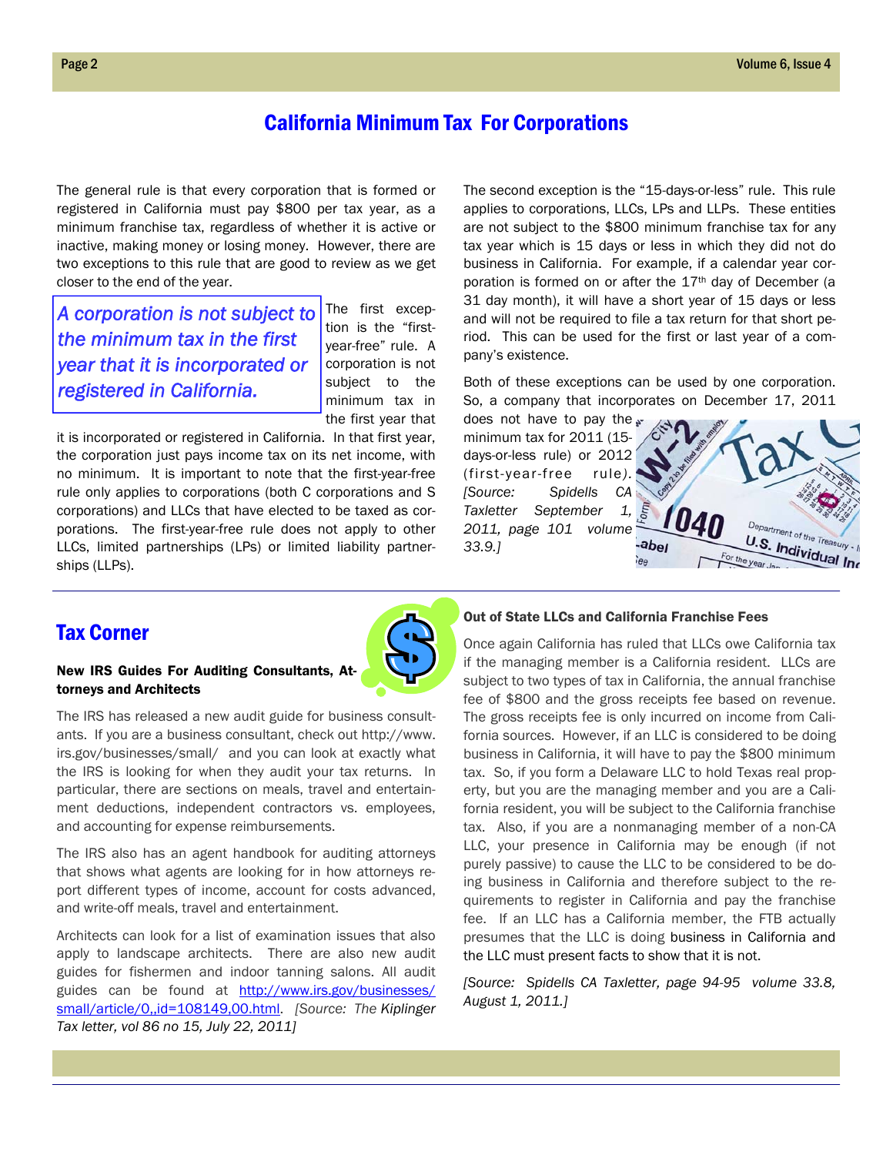## California Minimum Tax For Corporations

The general rule is that every corporation that is formed or registered in California must pay \$800 per tax year, as a minimum franchise tax, regardless of whether it is active or inactive, making money or losing money. However, there are two exceptions to this rule that are good to review as we get closer to the end of the year.

*A corporation is not subject to the minimum tax in the first year that it is incorporated or registered in California.* 

The first exception is the "firstyear-free" rule. A corporation is not subject to the minimum tax in the first year that

it is incorporated or registered in California. In that first year, the corporation just pays income tax on its net income, with no minimum. It is important to note that the first-year-free rule only applies to corporations (both C corporations and S corporations) and LLCs that have elected to be taxed as corporations. The first-year-free rule does not apply to other LLCs, limited partnerships (LPs) or limited liability partnerships (LLPs).

The second exception is the "15-days-or-less" rule. This rule applies to corporations, LLCs, LPs and LLPs. These entities are not subject to the \$800 minimum franchise tax for any tax year which is 15 days or less in which they did not do business in California. For example, if a calendar year corporation is formed on or after the 17th day of December (a 31 day month), it will have a short year of 15 days or less and will not be required to file a tax return for that short period. This can be used for the first or last year of a company's existence.

Both of these exceptions can be used by one corporation. So, a company that incorporates on December 17, 2011

does not have to pay the minimum tax for 2011 (15 days-or-less rule) or 2012 (first-year-free rule*). [Source: Spidells CA Taxletter September 1, 2011, page 101 volume 33.9.]* 



## Tax Corner

#### New IRS Guides For Auditing Consultants, Attorneys and Architects

The IRS has released a new audit guide for business consultants. If you are a business consultant, check out http://www. irs.gov/businesses/small/ and you can look at exactly what the IRS is looking for when they audit your tax returns. In particular, there are sections on meals, travel and entertainment deductions, independent contractors vs. employees, and accounting for expense reimbursements.

The IRS also has an agent handbook for auditing attorneys that shows what agents are looking for in how attorneys report different types of income, account for costs advanced, and write-off meals, travel and entertainment.

Architects can look for a list of examination issues that also apply to landscape architects. There are also new audit guides for fishermen and indoor tanning salons. All audit guides can be found at http://www.irs.gov/businesses/ small/article/0,,id=108149,00.html. *[Source: The Kiplinger Tax letter, vol 86 no 15, July 22, 2011]*

#### Out of State LLCs and California Franchise Fees

Once again California has ruled that LLCs owe California tax if the managing member is a California resident. LLCs are subject to two types of tax in California, the annual franchise fee of \$800 and the gross receipts fee based on revenue. The gross receipts fee is only incurred on income from California sources. However, if an LLC is considered to be doing business in California, it will have to pay the \$800 minimum tax. So, if you form a Delaware LLC to hold Texas real property, but you are the managing member and you are a California resident, you will be subject to the California franchise tax. Also, if you are a nonmanaging member of a non-CA LLC, your presence in California may be enough (if not purely passive) to cause the LLC to be considered to be doing business in California and therefore subject to the requirements to register in California and pay the franchise fee. If an LLC has a California member, the FTB actually presumes that the LLC is doing business in California and the LLC must present facts to show that it is not.

*[Source: Spidells CA Taxletter, page 94-95 volume 33.8, August 1, 2011.]*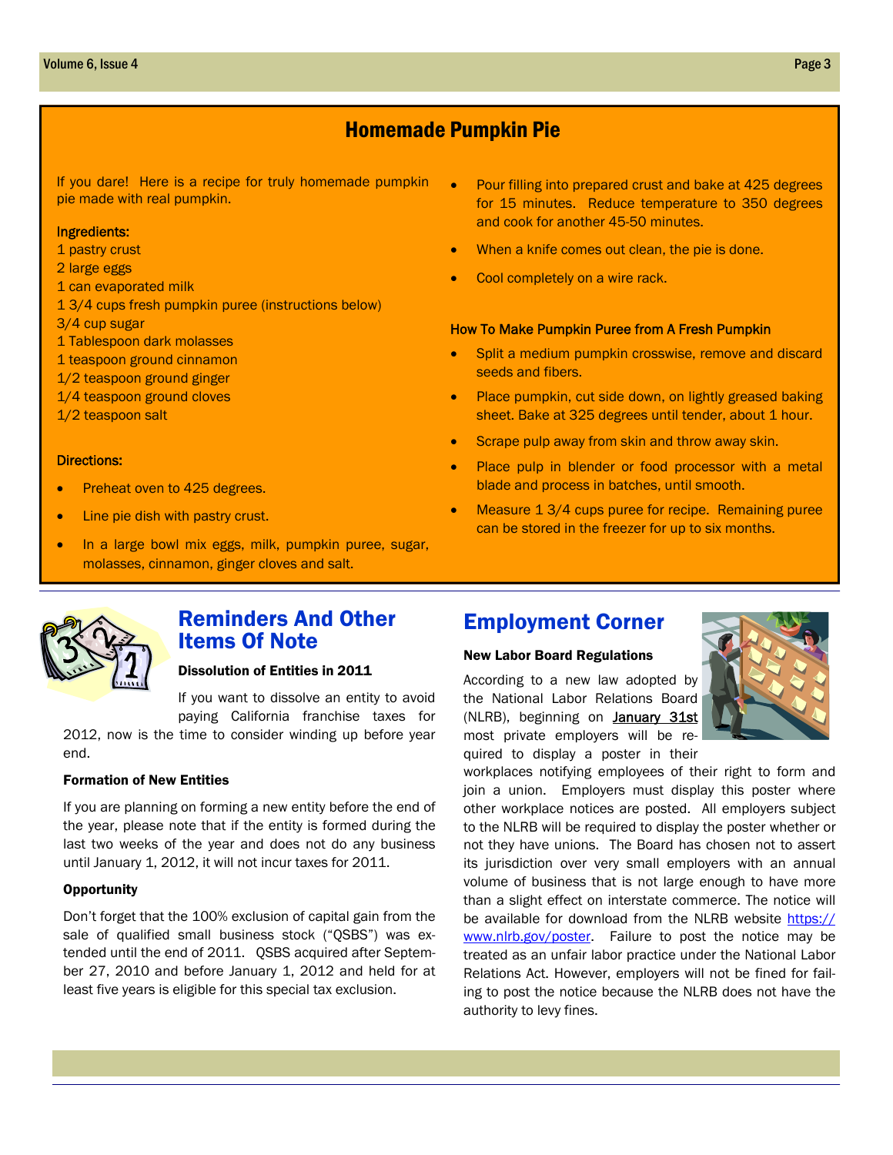## Homemade Pumpkin Pie

pie made with real pumpkin. If you dare! Here is a recipe for truly homemade pumpkin

#### Ingredients:

- 1 pastry crust
- 2 large eggs
- 1 can evaporated milk
- 1 3/4 cups fresh pumpkin puree (instructions below)
- 3/4 cup sugar
- 1 Tablespoon dark molasses
- 1 teaspoon ground cinnamon
- 1/2 teaspoon ground ginger
- 1/4 teaspoon ground cloves
- 1/2 teaspoon salt

#### Directions:

- Preheat oven to 425 degrees.
- Line pie dish with pastry crust.
- In a large bowl mix eggs, milk, pumpkin puree, sugar, molasses, cinnamon, ginger cloves and salt.
- Pour filling into prepared crust and bake at 425 degrees for 15 minutes. Reduce temperature to 350 degrees and cook for another 45-50 minutes.
- When a knife comes out clean, the pie is done.
- Cool completely on a wire rack.

#### How To Make Pumpkin Puree from A Fresh Pumpkin

- Split a medium pumpkin crosswise, remove and discard seeds and fibers.
- Place pumpkin, cut side down, on lightly greased baking sheet. Bake at 325 degrees until tender, about 1 hour.
- Scrape pulp away from skin and throw away skin.
- Place pulp in blender or food processor with a metal blade and process in batches, until smooth.
- Measure 1 3/4 cups puree for recipe. Remaining puree can be stored in the freezer for up to six months.



### Reminders And Other Items Of Note

#### Dissolution of Entities in 2011

If you want to dissolve an entity to avoid paying California franchise taxes for 2012, now is the time to consider winding up before year

end.

#### Formation of New Entities

If you are planning on forming a new entity before the end of the year, please note that if the entity is formed during the last two weeks of the year and does not do any business until January 1, 2012, it will not incur taxes for 2011.

#### **Opportunity**

Don't forget that the 100% exclusion of capital gain from the sale of qualified small business stock ("QSBS") was extended until the end of 2011. QSBS acquired after September 27, 2010 and before January 1, 2012 and held for at least five years is eligible for this special tax exclusion.

## Employment Corner

#### New Labor Board Regulations

According to a new law adopted by the National Labor Relations Board (NLRB), beginning on January 31st most private employers will be required to display a poster in their



workplaces notifying employees of their right to form and join a union. Employers must display this poster where other workplace notices are posted. All employers subject to the NLRB will be required to display the poster whether or not they have unions. The Board has chosen not to assert its jurisdiction over very small employers with an annual volume of business that is not large enough to have more than a slight effect on interstate commerce. The notice will be available for download from the NLRB website https:// www.nlrb.gov/poster. Failure to post the notice may be treated as an unfair labor practice under the National Labor Relations Act. However, employers will not be fined for failing to post the notice because the NLRB does not have the authority to levy fines.